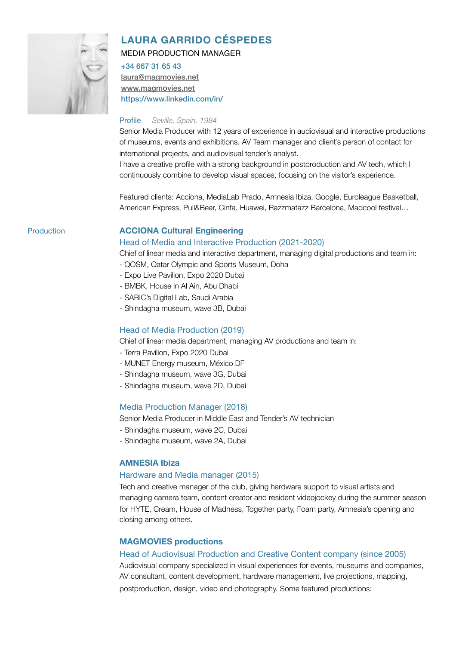

# **LAURA GARRIDO CÉSPEDES**

MEDIA PRODUCTION MANAGER

+34 667 31 65 43

[laura@magmovies.net](mailto:laura@magmovies.net) [www.magmovies.net](http://www.magmovies.net) https://www.linkedin.com/in/

#### Profile *Seville, Spain, 1984*

Senior Media Producer with 12 years of experience in audiovisual and interactive productions of museums, events and exhibitions. AV Team manager and client's person of contact for international projects, and audiovisual tender's analyst.

I have a creative profile with a strong background in postproduction and AV tech, which I continuously combine to develop visual spaces, focusing on the visitor's experience.

Featured clients: Acciona, MediaLab Prado, Amnesia Ibiza, Google, Euroleague Basketball, American Express, Pull&Bear, Cinfa, Huawei, Razzmatazz Barcelona, Madcool festival…

### Production **ACCIONA Cultural Engineering**

## Head of Media and Interactive Production (2021-2020)

Chief of linear media and interactive department, managing digital productions and team in:

- QOSM, Qatar Olympic and Sports Museum, Doha
- Expo Live Pavilion, Expo 2020 Dubai
- BMBK, House in Al Ain, Abu Dhabi
- SABIC's Digital Lab, Saudi Arabia
- Shindagha museum, wave 3B, Dubai

# Head of Media Production (2019)

Chief of linear media department, managing AV productions and team in:

- Terra Pavilion, Expo 2020 Dubai
- MUNET Energy museum, México DF
- Shindagha museum, wave 3G, Dubai
- Shindagha museum, wave 2D, Dubai

### Media Production Manager (2018)

Senior Media Producer in Middle East and Tender's AV technician

- Shindagha museum, wave 2C, Dubai
- Shindagha museum, wave 2A, Dubai

### **AMNESIA Ibiza**

### Hardware and Media manager (2015)

Tech and creative manager of the club, giving hardware support to visual artists and managing camera team, content creator and resident videojockey during the summer season for HYTE, Cream, House of Madness, Together party, Foam party, Amnesia's opening and closing among others.

# **MAGMOVIES productions**

### Head of Audiovisual Production and Creative Content company (since 2005)

Audiovisual company specialized in visual experiences for events, museums and companies, AV consultant, content development, hardware management, live projections, mapping, postproduction, design, video and photography. Some featured productions: